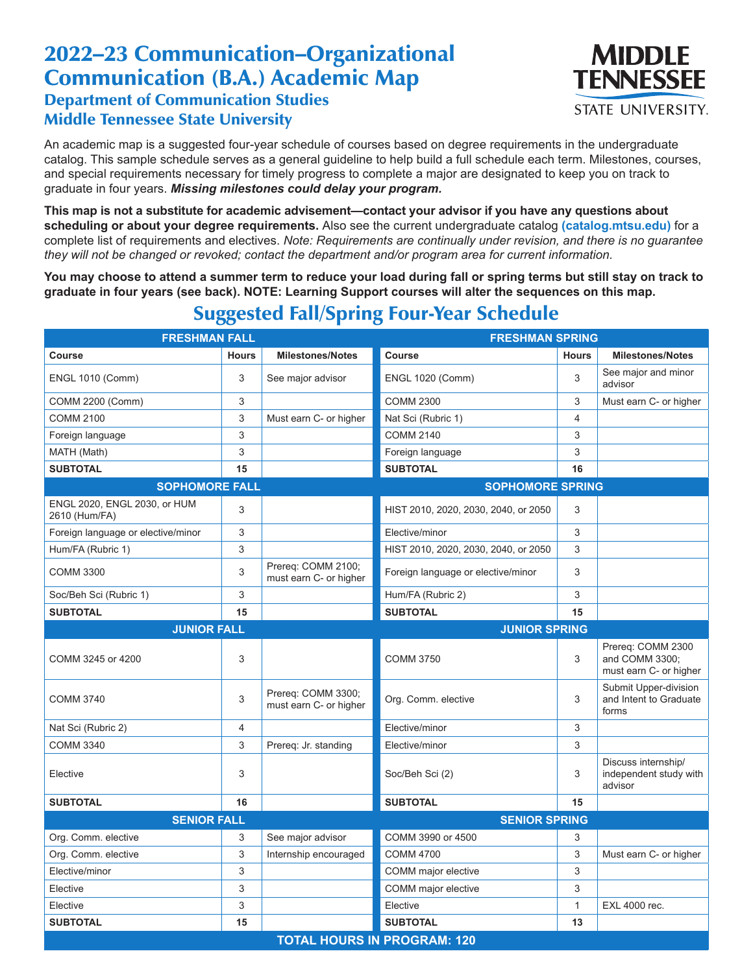## 2022–23 Communication–Organizational Communication (B.A.) Academic Map Department of Communication Studies Middle Tennessee State University



An academic map is a suggested four-year schedule of courses based on degree requirements in the undergraduate catalog. This sample schedule serves as a general guideline to help build a full schedule each term. Milestones, courses, and special requirements necessary for timely progress to complete a major are designated to keep you on track to graduate in four years. *Missing milestones could delay your program.*

**This map is not a substitute for academic advisement—contact your advisor if you have any questions about scheduling or about your degree requirements.** Also see the current undergraduate catalog **(catalog.mtsu.edu)** for a complete list of requirements and electives. *Note: Requirements are continually under revision, and there is no guarantee they will not be changed or revoked; contact the department and/or program area for current information.*

**You may choose to attend a summer term to reduce your load during fall or spring terms but still stay on track to graduate in four years (see back). NOTE: Learning Support courses will alter the sequences on this map.**

| <b>FRESHMAN FALL</b>                          |                | <b>FRESHMAN SPRING</b>                       |                                      |                |                                                               |  |  |  |
|-----------------------------------------------|----------------|----------------------------------------------|--------------------------------------|----------------|---------------------------------------------------------------|--|--|--|
| Course                                        | <b>Hours</b>   | <b>Milestones/Notes</b>                      | <b>Course</b>                        | <b>Hours</b>   | <b>Milestones/Notes</b>                                       |  |  |  |
| <b>ENGL 1010 (Comm)</b>                       | 3              | See major advisor                            | <b>ENGL 1020 (Comm)</b>              | 3              | See major and minor<br>advisor                                |  |  |  |
| COMM 2200 (Comm)                              | 3              |                                              | <b>COMM 2300</b>                     | 3              | Must earn C- or higher                                        |  |  |  |
| <b>COMM 2100</b>                              | 3              | Must earn C- or higher                       | Nat Sci (Rubric 1)                   | $\overline{4}$ |                                                               |  |  |  |
| Foreign language                              | 3              |                                              | <b>COMM 2140</b>                     | 3              |                                                               |  |  |  |
| MATH (Math)                                   | 3              |                                              | Foreign language                     | 3              |                                                               |  |  |  |
| <b>SUBTOTAL</b>                               | 15             |                                              | <b>SUBTOTAL</b>                      | 16             |                                                               |  |  |  |
| <b>SOPHOMORE FALL</b>                         |                | <b>SOPHOMORE SPRING</b>                      |                                      |                |                                                               |  |  |  |
| ENGL 2020, ENGL 2030, or HUM<br>2610 (Hum/FA) | 3              |                                              | HIST 2010, 2020, 2030, 2040, or 2050 | 3              |                                                               |  |  |  |
| Foreign language or elective/minor            | 3              |                                              | Elective/minor                       | 3              |                                                               |  |  |  |
| Hum/FA (Rubric 1)                             | 3              |                                              | HIST 2010, 2020, 2030, 2040, or 2050 | 3              |                                                               |  |  |  |
| <b>COMM 3300</b>                              | 3              | Prereq: COMM 2100;<br>must earn C- or higher | Foreign language or elective/minor   | 3              |                                                               |  |  |  |
| Soc/Beh Sci (Rubric 1)                        | 3              |                                              | Hum/FA (Rubric 2)                    | 3              |                                                               |  |  |  |
| <b>SUBTOTAL</b>                               | 15             |                                              | <b>SUBTOTAL</b>                      | 15             |                                                               |  |  |  |
| <b>JUNIOR FALL</b>                            |                |                                              | <b>JUNIOR SPRING</b>                 |                |                                                               |  |  |  |
| COMM 3245 or 4200                             | 3              |                                              | <b>COMM 3750</b>                     | 3              | Prereq: COMM 2300<br>and COMM 3300:<br>must earn C- or higher |  |  |  |
| <b>COMM 3740</b>                              | 3              | Prereq: COMM 3300;<br>must earn C- or higher | Org. Comm. elective                  | 3              | Submit Upper-division<br>and Intent to Graduate<br>forms      |  |  |  |
| Nat Sci (Rubric 2)                            | $\overline{4}$ |                                              | Elective/minor                       | 3              |                                                               |  |  |  |
| <b>COMM 3340</b>                              | 3              | Prereq: Jr. standing                         | Elective/minor                       | 3              |                                                               |  |  |  |
| Elective                                      | 3              |                                              | Soc/Beh Sci (2)                      | 3              | Discuss internship/<br>independent study with<br>advisor      |  |  |  |
| <b>SUBTOTAL</b>                               | 16             |                                              | <b>SUBTOTAL</b>                      | 15             |                                                               |  |  |  |
| <b>SENIOR FALL</b>                            |                | <b>SENIOR SPRING</b>                         |                                      |                |                                                               |  |  |  |
| Org. Comm. elective                           | 3              | See major advisor                            | COMM 3990 or 4500                    | 3              |                                                               |  |  |  |
| Org. Comm. elective                           | 3              | Internship encouraged                        | <b>COMM 4700</b>                     | 3              | Must earn C- or higher                                        |  |  |  |
| Elective/minor                                | 3              |                                              | COMM major elective                  | 3              |                                                               |  |  |  |
| Elective                                      | 3              |                                              | COMM major elective                  | 3              |                                                               |  |  |  |
| Elective                                      | 3              |                                              | Elective                             | $\mathbf{1}$   | EXL 4000 rec.                                                 |  |  |  |
| <b>SUBTOTAL</b>                               | 15             |                                              | <b>SUBTOTAL</b>                      | 13             |                                                               |  |  |  |
| <b>TOTAL HOURS IN PROGRAM: 120</b>            |                |                                              |                                      |                |                                                               |  |  |  |

## Suggested Fall/Spring Four-Year Schedule